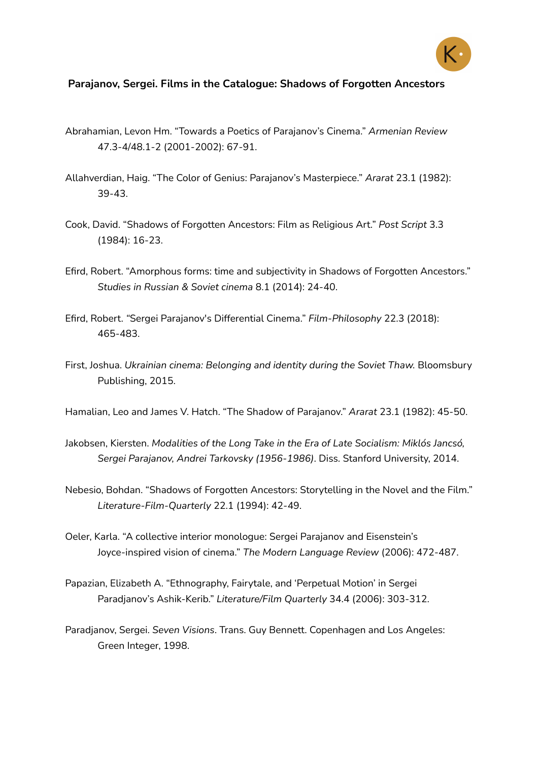

## **Parajanov, Sergei. Films in the Catalogue: Shadows of Forgotten Ancestors**

- Abrahamian, Levon Hm. "Towards a Poetics of Parajanov's Cinema." *Armenian Review* 47.3-4/48.1-2 (2001-2002): 67-91.
- Allahverdian, Haig. "The Color of Genius: Parajanov's Masterpiece." *Ararat* 23.1 (1982): 39-43.
- Cook, David. "Shadows of Forgotten Ancestors: Film as Religious Art." *Post Script* 3.3 (1984): 16-23.
- Efird, Robert. "Amorphous forms: time and subjectivity in Shadows of Forgotten Ancestors." *Studies in Russian & Soviet cinema* 8.1 (2014): 24-40.
- Efird, Robert. *"*Sergei Parajanov's Differential Cinema." *Film-Philosophy* 22.3 (2018): 465-483.
- First, Joshua. *Ukrainian cinema: Belonging and identity during the Soviet Thaw.* Bloomsbury Publishing, 2015.
- Hamalian, Leo and James V. Hatch. "The Shadow of Parajanov." *Ararat* 23.1 (1982): 45-50.
- Jakobsen, Kiersten. *Modalities of the Long Take in the Era of Late Socialism: Miklós Jancsó, Sergei Parajanov, Andrei Tarkovsky (1956-1986)*. Diss. Stanford University, 2014.
- Nebesio, Bohdan. "Shadows of Forgotten Ancestors: Storytelling in the Novel and the Film." *Literature-Film-Quarterly* 22.1 (1994): 42-49.
- Oeler, Karla. "A collective interior monologue: Sergei Parajanov and Eisenstein's Joyce-inspired vision of cinema." *The Modern Language Review* (2006): 472-487.
- Papazian, Elizabeth A. "Ethnography, Fairytale, and 'Perpetual Motion' in Sergei Paradjanov's Ashik-Kerib." *Literature/Film Quarterly* 34.4 (2006): 303-312.
- Paradjanov, Sergei. *Seven Visions*. Trans. Guy Bennett. Copenhagen and Los Angeles: Green Integer, 1998.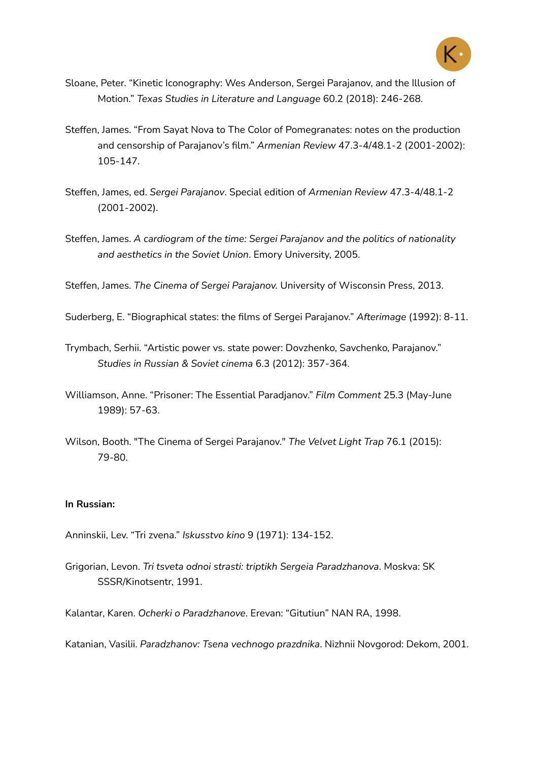

- Sloane, Peter. "Kinetic Iconography: Wes Anderson, Sergei Parajanov, and the Illusion of Motion." *Texas Studies in Literature and Language* 60.2 (2018): 246-268.
- Steffen, James. "From Sayat Nova to The Color of Pomegranates: notes on the production and censorship of Parajanov's film." *Armenian Review* 47.3-4/48.1-2 (2001-2002): 105-147.
- Steffen, James, ed. *Sergei Parajanov*. Special edition of *Armenian Review* 47.3-4/48.1-2 (2001-2002).
- Steffen, James. *A cardiogram of the time: Sergei Parajanov and the politics of nationality and aesthetics in the Soviet Union*. Emory University, 2005.

Steffen, James. *The Cinema of Sergei Parajanov.* University of Wisconsin Press, 2013.

Suderberg, E. "Biographical states: the films of Sergei Parajanov." *Afterimage* (1992): 8-11.

- Trymbach, Serhii. "Artistic power vs. state power: Dovzhenko, Savchenko, Parajanov." *Studies in Russian & Soviet cinema* 6.3 (2012): 357-364.
- Williamson, Anne. "Prisoner: The Essential Paradjanov." *Film Comment* 25.3 (May-June 1989): 57-63.
- Wilson, Booth. "The Cinema of Sergei Parajanov." *The Velvet Light Trap* 76.1 (2015): 79-80.

## **In Russian:**

- Anninskii, Lev. "Tri zvena." *Iskusstvo kino* 9 (1971): 134-152.
- Grigorian, Levon. *Tri tsveta odnoi strasti: triptikh Sergeia Paradzhanova*. Moskva: SK SSSR/Kinotsentr, 1991.

Kalantar, Karen. *Ocherki o Paradzhanove*. Erevan: "Gitutiun" NAN RA, 1998.

Katanian, Vasilii. *Paradzhanov: Tsena vechnogo prazdnika*. Nizhnii Novgorod: Dekom, 2001.